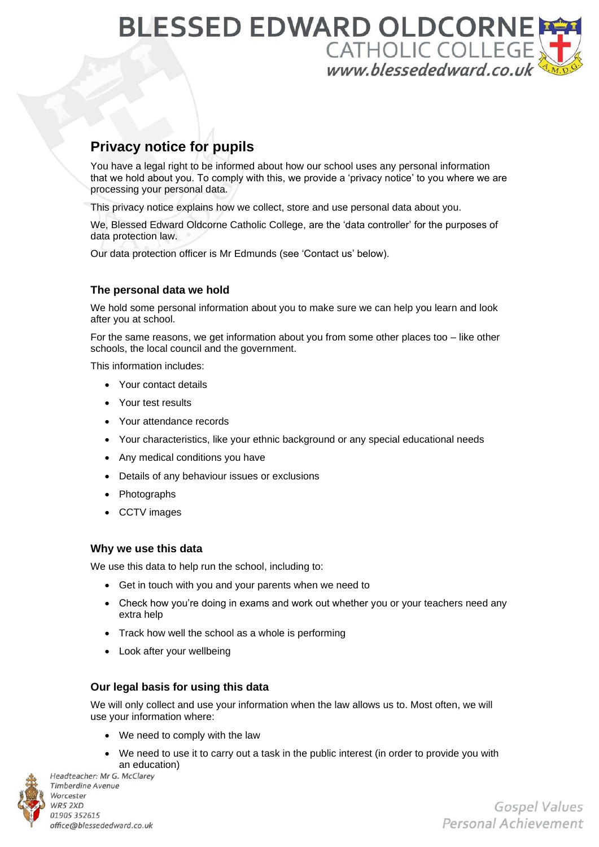## **BLESSED EDWARD OLDCORNE** CATHOLIC COLLEGE

### **Privacy notice for pupils**

You have a legal right to be informed about how our school uses any personal information that we hold about you. To comply with this, we provide a 'privacy notice' to you where we are processing your personal data.

This privacy notice explains how we collect, store and use personal data about you.

We, Blessed Edward Oldcorne Catholic College, are the 'data controller' for the purposes of data protection law.

Our data protection officer is Mr Edmunds (see 'Contact us' below).

#### **The personal data we hold**

We hold some personal information about you to make sure we can help you learn and look after you at school.

For the same reasons, we get information about you from some other places too – like other schools, the local council and the government.

This information includes:

- Your contact details
- Your test results
- Your attendance records
- Your characteristics, like your ethnic background or any special educational needs
- Any medical conditions you have
- Details of any behaviour issues or exclusions
- Photographs
- CCTV images

#### **Why we use this data**

We use this data to help run the school, including to:

- Get in touch with you and your parents when we need to
- Check how you're doing in exams and work out whether you or your teachers need any extra help
- Track how well the school as a whole is performing
- Look after your wellbeing

#### **Our legal basis for using this data**

We will only collect and use your information when the law allows us to. Most often, we will use your information where:

- We need to comply with the law
- We need to use it to carry out a task in the public interest (in order to provide you with an education)



Headteacher: Mr G. McClarey **Timberdine Avenue** Worcester WR5 2XD 01905 352615 office@blessededward.co.uk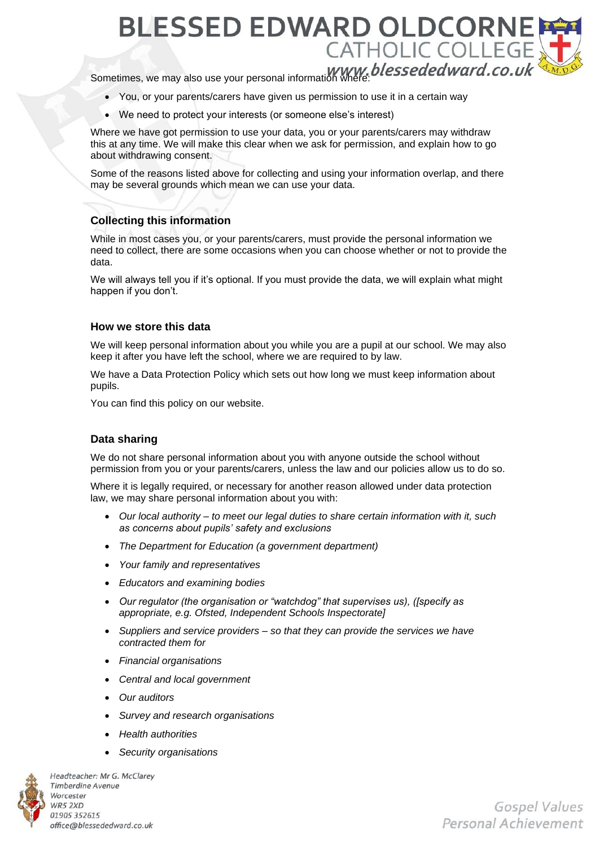**BLESSED EDWARD OLDCORNI** CATHOLIC COLLEGI Sometimes, we may also use your personal information where: blessededward.co.uk

- You, or your parents/carers have given us permission to use it in a certain way
- We need to protect your interests (or someone else's interest)

Where we have got permission to use your data, you or your parents/carers may withdraw this at any time. We will make this clear when we ask for permission, and explain how to go about withdrawing consent.

Some of the reasons listed above for collecting and using your information overlap, and there may be several grounds which mean we can use your data.

#### **Collecting this information**

While in most cases you, or your parents/carers, must provide the personal information we need to collect, there are some occasions when you can choose whether or not to provide the data.

We will always tell you if it's optional. If you must provide the data, we will explain what might happen if you don't.

#### **How we store this data**

We will keep personal information about you while you are a pupil at our school. We may also keep it after you have left the school, where we are required to by law.

We have a Data Protection Policy which sets out how long we must keep information about pupils.

You can find this policy on our website.

#### **Data sharing**

We do not share personal information about you with anyone outside the school without permission from you or your parents/carers, unless the law and our policies allow us to do so.

Where it is legally required, or necessary for another reason allowed under data protection law, we may share personal information about you with:

- *Our local authority – to meet our legal duties to share certain information with it, such as concerns about pupils' safety and exclusions*
- *The Department for Education (a government department)*
- *Your family and representatives*
- *Educators and examining bodies*
- *Our regulator (the organisation or "watchdog" that supervises us), ([specify as appropriate, e.g. Ofsted, Independent Schools Inspectorate]*
- *Suppliers and service providers – so that they can provide the services we have contracted them for*
- *Financial organisations*
- *Central and local government*
- *Our auditors*
- *Survey and research organisations*
- *Health authorities*
- *Security organisations*



Headteacher: Mr G. McClarey **Timberdine Avenue** Worcester WR5 2XD 01905 352615 office@blessededward.co.uk

**Gospel Values** Personal Achievement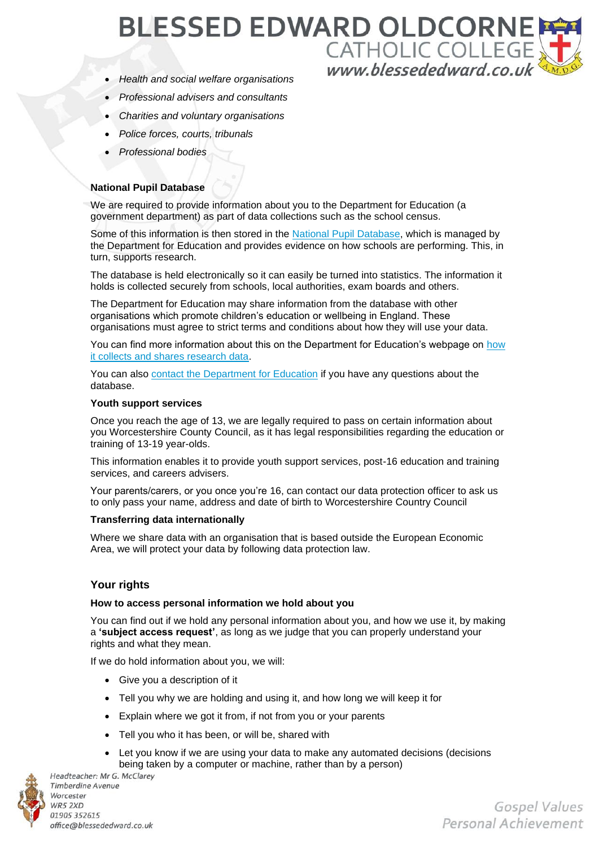# **BLESSED EDWARD OLDCORNI** CATHOLIC COLLEGE

- *Health and social welfare organisations*
- *Professional advisers and consultants*
- *Charities and voluntary organisations*
- *Police forces, courts, tribunals*
- *Professional bodies*

#### **National Pupil Database**

We are required to provide information about you to the Department for Education (a government department) as part of data collections such as the school census.

Some of this information is then stored in the [National Pupil Database,](https://www.gov.uk/government/publications/national-pupil-database-user-guide-and-supporting-information) which is managed by the Department for Education and provides evidence on how schools are performing. This, in turn, supports research.

The database is held electronically so it can easily be turned into statistics. The information it holds is collected securely from schools, local authorities, exam boards and others.

The Department for Education may share information from the database with other organisations which promote children's education or wellbeing in England. These organisations must agree to strict terms and conditions about how they will use your data.

You can find more information about this on the Department for Education's webpage on how [it collects and shares research data.](https://www.gov.uk/data-protection-how-we-collect-and-share-research-data)

You can also [contact the Department for Education](https://www.gov.uk/contact-dfe) if you have any questions about the database.

#### **Youth support services**

Once you reach the age of 13, we are legally required to pass on certain information about you Worcestershire County Council, as it has legal responsibilities regarding the education or training of 13-19 year-olds.

This information enables it to provide youth support services, post-16 education and training services, and careers advisers.

Your parents/carers, or you once you're 16, can contact our data protection officer to ask us to only pass your name, address and date of birth to Worcestershire Country Council

#### **Transferring data internationally**

Where we share data with an organisation that is based outside the European Economic Area, we will protect your data by following data protection law.

#### **Your rights**

#### **How to access personal information we hold about you**

You can find out if we hold any personal information about you, and how we use it, by making a **'subject access request'**, as long as we judge that you can properly understand your rights and what they mean.

If we do hold information about you, we will:

- Give you a description of it
- Tell you why we are holding and using it, and how long we will keep it for
- Explain where we got it from, if not from you or your parents
- Tell you who it has been, or will be, shared with
- Let you know if we are using your data to make any automated decisions (decisions being taken by a computer or machine, rather than by a person)



**Timberdine Avenue** Worcester WR5 2XD 01905 352615 office@blessededward.co.uk

Gospel Values Personal Achievement